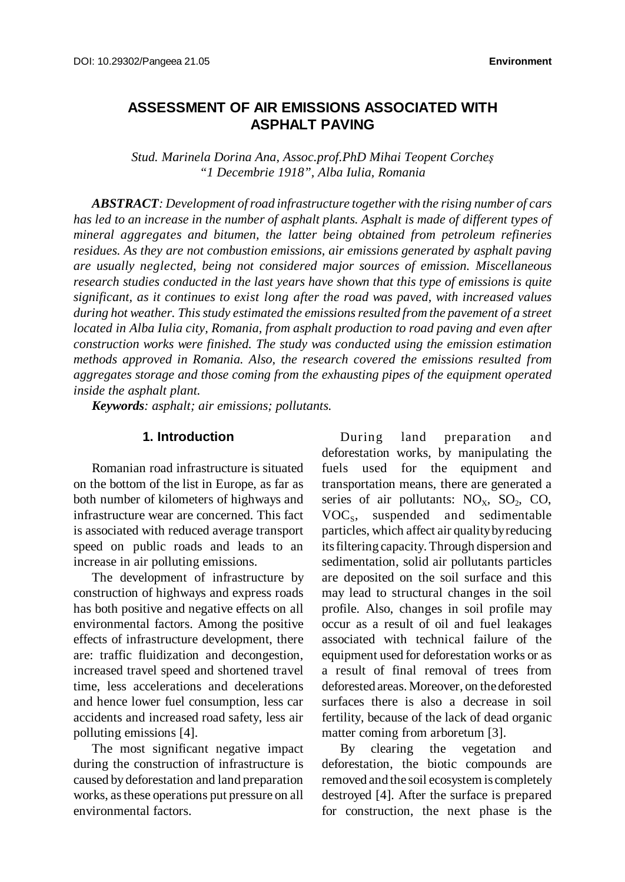# **ASSESSMENT OF AIR EMISSIONS ASSOCIATED WITH ASPHALT PAVING**

*Stud. Marinela Dorina Ana, Assoc.prof.PhD Mihai Teopent Corcheş "1 Decembrie 1918", Alba Iulia, Romania*

*ABSTRACT: Development ofroad infrastructure togetherwith the rising number of cars has led to an increase in the number of asphalt plants. Asphalt is made of different types of mineral aggregates and bitumen, the latter being obtained from petroleum refineries residues. As they are not combustion emissions, air emissions generated by asphalt paving are usually neglected, being not considered major sources of emission. Miscellaneous research studies conducted in the last years have shown that this type of emissions is quite significant, as it continues to exist long after the road was paved, with increased values during hot weather. Thisstudy estimated the emissionsresulted from the pavement of a street located in Alba Iulia city, Romania, from asphalt production to road paving and even after construction works were finished. The study was conducted using the emission estimation methods approved in Romania. Also, the research covered the emissions resulted from aggregates storage and those coming from the exhausting pipes of the equipment operated inside the asphalt plant.*

*Keywords: asphalt; air emissions; pollutants.*

### **1. Introduction**

Romanian road infrastructure is situated on the bottom of the list in Europe, as far as both number of kilometers of highways and infrastructure wear are concerned. This fact is associated with reduced average transport speed on public roads and leads to an increase in air polluting emissions.

The development of infrastructure by construction of highways and express roads has both positive and negative effects on all environmental factors. Among the positive effects of infrastructure development, there are: traffic fluidization and decongestion, increased travel speed and shortened travel time, less accelerations and decelerations and hence lower fuel consumption, less car accidents and increased road safety, less air polluting emissions [4].

The most significant negative impact during the construction of infrastructure is caused by deforestation and land preparation works, asthese operations put pressure on all environmental factors.

During land preparation and deforestation works, by manipulating the fuels used for the equipment and transportation means, there are generated a series of air pollutants:  $NO<sub>x</sub>$ ,  $SO<sub>2</sub>$ ,  $CO$ , VOC<sub>s</sub>, suspended and sedimentable particles, which affect air qualitybyreducing itsfiltering capacity. Through dispersion and sedimentation, solid air pollutants particles are deposited on the soil surface and this may lead to structural changes in the soil profile. Also, changes in soil profile may occur as a result of oil and fuel leakages associated with technical failure of the equipment used for deforestation works or as a result of final removal of trees from deforested areas. Moreover, on the deforested surfaces there is also a decrease in soil fertility, because of the lack of dead organic matter coming from arboretum [3].

By clearing the vegetation and deforestation, the biotic compounds are removed and the soil ecosystem is completely destroyed [4]. After the surface is prepared for construction, the next phase is the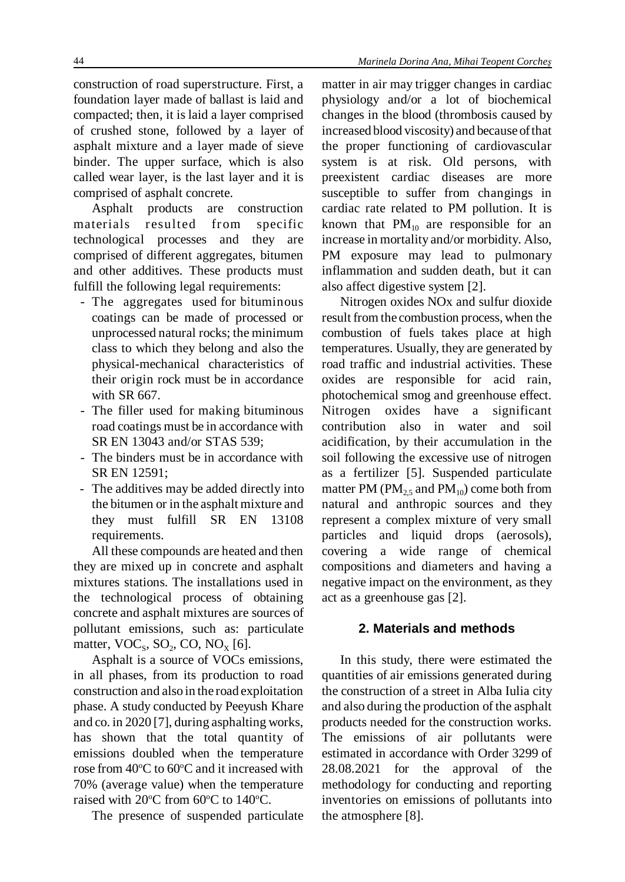44 *Marinela Dorina Ana, Mihai Teopent Corcheş*

construction of road superstructure. First, a foundation layer made of ballast is laid and compacted; then, it is laid a layer comprised of crushed stone, followed by a layer of asphalt mixture and a layer made of sieve binder. The upper surface, which is also called wear layer, is the last layer and it is comprised of asphalt concrete.

Asphalt products are construction materials resulted from specific technological processes and they are comprised of different aggregates, bitumen and other additives. These products must fulfill the following legal requirements:

- The aggregates used for bituminous coatings can be made of processed or unprocessed natural rocks; the minimum class to which they belong and also the physical-mechanical characteristics of their origin rock must be in accordance with SR 667.
- The filler used for making bituminous road coatings must be in accordance with SR EN 13043 and/or STAS 539;
- The binders must be in accordance with SR EN 12591;
- The additives may be added directly into the bitumen or in the asphalt mixture and they must fulfill SR EN 13108 requirements.

All these compounds are heated and then they are mixed up in concrete and asphalt mixtures stations. The installations used in the technological process of obtaining concrete and asphalt mixtures are sources of pollutant emissions, such as: particulate matter,  $VOC<sub>s</sub>$ ,  $SO<sub>2</sub>$ ,  $CO$ ,  $NO<sub>X</sub>$  [6].

Asphalt is a source of VOCs emissions, in all phases, from its production to road construction and also in the road exploitation phase. A study conducted by Peeyush Khare and co. in 2020 [7], during asphalting works, has shown that the total quantity of emissions doubled when the temperature rose from 40°C to 60°C and it increased with 70% (average value) when the temperature raised with  $20^{\circ}$ C from 60 $^{\circ}$ C to 140 $^{\circ}$ C.

The presence of suspended particulate

matter in air may trigger changes in cardiac physiology and/or a lot of biochemical changes in the blood (thrombosis caused by increased blood viscosity) and because ofthat the proper functioning of cardiovascular system is at risk. Old persons, with preexistent cardiac diseases are more susceptible to suffer from changings in cardiac rate related to PM pollution. It is known that  $PM_{10}$  are responsible for an increase in mortality and/or morbidity. Also, PM exposure may lead to pulmonary inflammation and sudden death, but it can also affect digestive system [2].

Nitrogen oxides NOx and sulfur dioxide result from the combustion process, when the combustion of fuels takes place at high temperatures. Usually, they are generated by road traffic and industrial activities. These oxides are responsible for acid rain, photochemical smog and greenhouse effect. Nitrogen oxides have a significant contribution also in water and soil acidification, by their accumulation in the soil following the excessive use of nitrogen as a fertilizer [5]. Suspended particulate matter PM ( $PM_{2.5}$  and  $PM_{10}$ ) come both from natural and anthropic sources and they represent a complex mixture of very small particles and liquid drops (aerosols), covering a wide range of chemical compositions and diameters and having a negative impact on the environment, as they act as a greenhouse gas [2].

# **2. Materials and methods**

In this study, there were estimated the quantities of air emissions generated during the construction of a street in Alba Iulia city and also during the production of the asphalt products needed for the construction works. The emissions of air pollutants were estimated in accordance with Order 3299 of 28.08.2021 for the approval of the methodology for conducting and reporting inventories on emissions of pollutants into the atmosphere [8].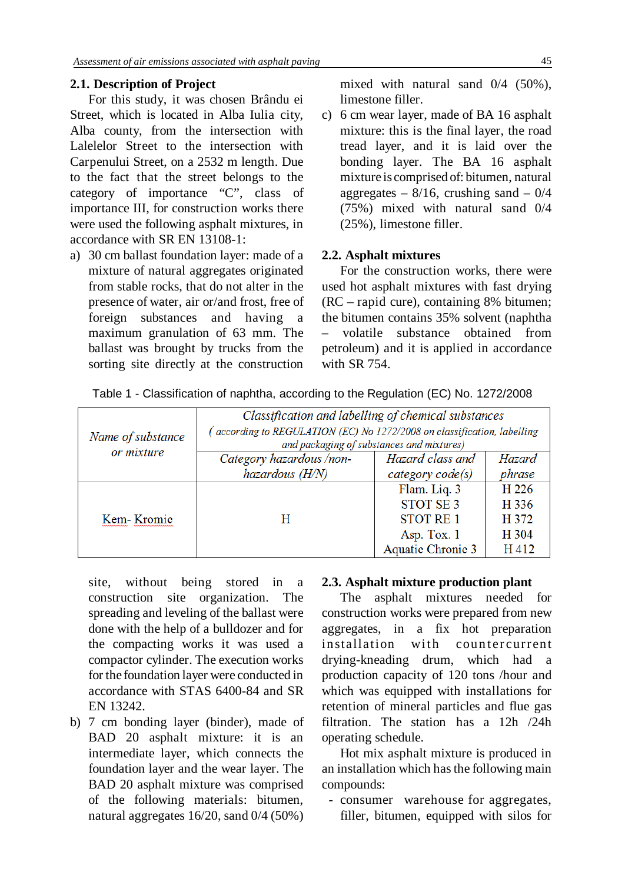### **2.1. Description of Project**

For this study, it was chosen Brându ei Street, which is located in Alba Iulia city, Alba county, from the intersection with Lalelelor Street to the intersection with Carpenului Street, on a 2532 m length. Due to the fact that the street belongs to the category of importance "C", class of importance III, for construction works there were used the following asphalt mixtures, in accordance with SR EN 13108-1:

a) 30 cm ballast foundation layer: made of a mixture of natural aggregates originated from stable rocks, that do not alter in the presence of water, air or/and frost, free of foreign substances and having maximum granulation of 63 mm. The ballast was brought by trucks from the sorting site directly at the construction

mixed with natural sand 0/4 (50%), limestone filler.

c) 6 cm wear layer, made of BA 16 asphalt mixture: this is the final layer, the road tread layer, and it is laid over the bonding layer. The BA 16 asphalt mixture is comprised of: bitumen, natural aggregates –  $8/16$ , crushing sand –  $0/4$ (75%) mixed with natural sand 0/4 (25%), limestone filler.

#### **2.2. Asphalt mixtures**

For the construction works, there were used hot asphalt mixtures with fast drying (RC – rapid cure), containing 8% bitumen; the bitumen contains 35% solvent (naphtha – volatile substance obtained from petroleum) and it is applied in accordance with SR 754.

| Name of substance | Classification and labelling of chemical substances<br>(according to REGULATION (EC) No 1272/2008 on classification, labelling<br>and packaging of substances and mixtures) |                          |        |  |
|-------------------|-----------------------------------------------------------------------------------------------------------------------------------------------------------------------------|--------------------------|--------|--|
| or mixture        | Category hazardous /non-                                                                                                                                                    | Hazard class and         | Hazard |  |
|                   | hazardous (H/N)                                                                                                                                                             | category code(s)         | phrase |  |
|                   |                                                                                                                                                                             | Flam. Liq. 3             | H 226  |  |
|                   |                                                                                                                                                                             | <b>STOT SE 3</b>         | H 336  |  |
| Kem Kromic        | н                                                                                                                                                                           | <b>STOT RE1</b>          | H 372  |  |
|                   |                                                                                                                                                                             | Asp. Tox. 1              | H 304  |  |
|                   |                                                                                                                                                                             | <b>Aquatic Chronic 3</b> | H412   |  |

Table 1 - Classification of naphtha, according to the Regulation (EC) No. 1272/2008

site, without being stored in a construction site organization. The spreading and leveling of the ballast were done with the help of a bulldozer and for the compacting works it was used a compactor cylinder. The execution works for the foundation layer were conducted in accordance with STAS 6400-84 and SR EN 13242.

b) 7 cm bonding layer (binder), made of BAD 20 asphalt mixture: it is an intermediate layer, which connects the foundation layer and the wear layer. The BAD 20 asphalt mixture was comprised of the following materials: bitumen, natural aggregates 16/20, sand 0/4 (50%)

#### **2.3. Asphalt mixture production plant**

The asphalt mixtures needed for construction works were prepared from new aggregates, in a fix hot preparation installation with countercurrent drying-kneading drum, which had a production capacity of 120 tons /hour and which was equipped with installations for retention of mineral particles and flue gas filtration. The station has a 12h /24h operating schedule.

Hot mix asphalt mixture is produced in an installation which hasthe following main compounds:

 - consumer warehouse for aggregates, filler, bitumen, equipped with silos for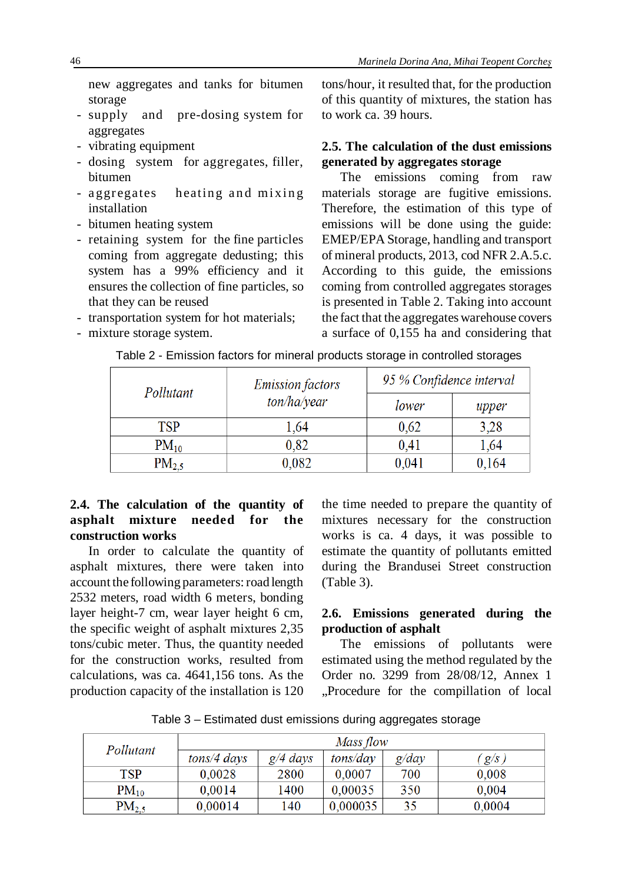new aggregates and tanks for bitumen storage

- supply and pre-dosing system for aggregates
- vibrating equipment
- dosing system for aggregates, filler, bitumen
- aggregates heating and mixing installation
- bitumen heating system
- retaining system for the fine particles coming from aggregate dedusting; this system has a 99% efficiency and it ensures the collection of fine particles, so that they can be reused
- transportation system for hot materials;
- mixture storage system.

tons/hour, it resulted that, for the production of this quantity of mixtures, the station has to work ca. 39 hours.

# **2.5. The calculation of the dust emissions generated by aggregates storage**

The emissions coming from raw materials storage are fugitive emissions. Therefore, the estimation of this type of emissions will be done using the guide: EMEP/EPA Storage, handling and transport of mineral products, 2013, cod NFR 2.A.5.c. According to this guide, the emissions coming from controlled aggregates storages is presented in Table 2. Taking into account the fact that the aggregates warehouse covers a surface of 0,155 ha and considering that

| Pollutant         | <b>Emission factors</b> | 95 % Confidence interval |       |
|-------------------|-------------------------|--------------------------|-------|
|                   | ton/ha/year             | lower                    | upper |
| TSP               | 1,64                    | 0.62                     | 3,28  |
| $PM_{10}$         | 0,82                    | 0.41                     | 1,64  |
| PM <sub>2.5</sub> | 0,082                   | 0.041                    | 0,164 |

#### Table 2 - Emission factors for mineral products storage in controlled storages

# **2.4. The calculation of the quantity of asphalt mixture needed for the construction works**

In order to calculate the quantity of asphalt mixtures, there were taken into account the following parameters: road length 2532 meters, road width 6 meters, bonding layer height-7 cm, wear layer height 6 cm, the specific weight of asphalt mixtures 2,35 tons/cubic meter. Thus, the quantity needed for the construction works, resulted from calculations, was ca. 4641,156 tons. As the production capacity of the installation is 120

the time needed to prepare the quantity of mixtures necessary for the construction works is ca. 4 days, it was possible to estimate the quantity of pollutants emitted during the Brandusei Street construction (Table 3).

## **2.6. Emissions generated during the production of asphalt**

The emissions of pollutants were estimated using the method regulated by the Order no. 3299 from 28/08/12, Annex 1 "Procedure for the compillation of local

Table 3 – Estimated dust emissions during aggregates storage

| Pollutant         | Mass flow     |            |          |       |        |
|-------------------|---------------|------------|----------|-------|--------|
|                   | $tons/4$ days | $g/4$ days | tons/day | g/day | g/s    |
| <b>TSP</b>        | 0.0028        | 2800       | 0.0007   | 700   | 0.008  |
| $PM_{10}$         | 0.0014        | 1400       | 0.00035  | 350   | 0.004  |
| PM <sub>2.5</sub> | 0.00014       | 140        | 0.000035 | 35    | 0,0004 |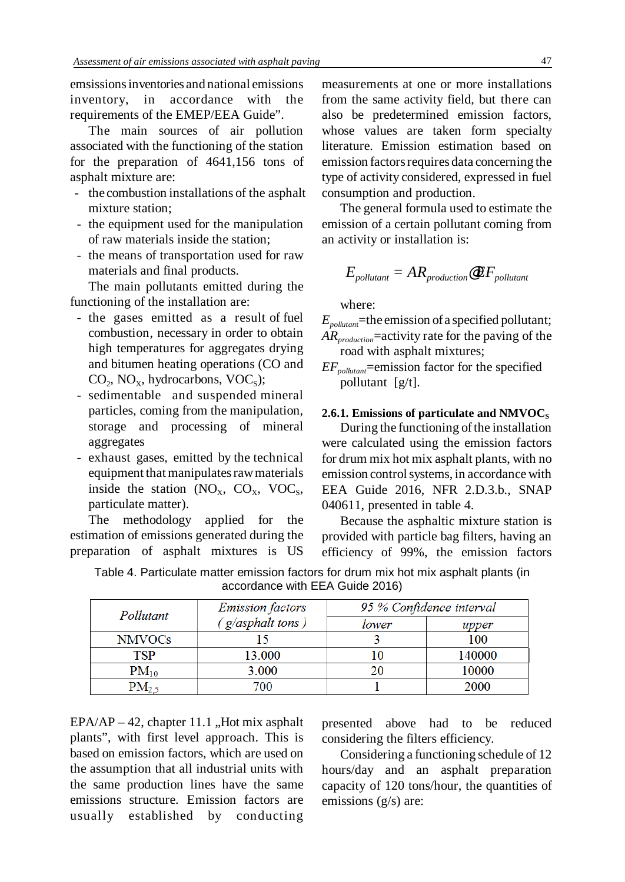emsissions inventories and national emissions inventory, in accordance with the requirements of the EMEP/EEA Guide".

The main sources of air pollution associated with the functioning of the station for the preparation of 4641,156 tons of asphalt mixture are:

- the combustion installations of the asphalt mixture station;
- the equipment used for the manipulation of raw materials inside the station;
- the means of transportation used for raw materials and final products.

The main pollutants emitted during the functioning of the installation are:

- the gases emitted as a result of fuel combustion, necessary in order to obtain high temperatures for aggregates drying and bitumen heating operations (CO and  $CO<sub>2</sub>$ , NO<sub>X</sub>, hydrocarbons, VOC<sub>S</sub>);
- sedimentable and suspended mineral particles, coming from the manipulation, storage and processing of mineral aggregates
- exhaust gases, emitted by the technical equipment that manipulates raw materials inside the station  $(NO_X, CO_X, VOC_S,$ particulate matter).

The methodology applied for the estimation of emissions generated during the preparation of asphalt mixtures is US

**TSP** 

 $PM_{10}$ 

 $PM<sub>2.5</sub>$ 

measurements at one or more installations from the same activity field, but there can also be predetermined emission factors, whose values are taken form specialty literature. Emission estimation based on emission factors requires data concerning the type of activity considered, expressed in fuel consumption and production.

The general formula used to estimate the emission of a certain pollutant coming from an activity or installation is:

$$
E_{\text{pollutant}} = AR_{\text{production}} \textbf{\textcircled{F}} F_{\text{pollutant}}
$$

where:

- *Epollutan*t=the emission of a specified pollutant; *ARproduction*=activity rate for the paving of the road with asphalt mixtures;
- *EFpollutant*=emission factor for the specified pollutant [g/t].

### 2.6.1. Emissions of particulate and NMVOC<sub>S</sub>

During the functioning of the installation were calculated using the emission factors for drum mix hot mix asphalt plants, with no emission control systems, in accordance with EEA Guide 2016, NFR 2.D.3.b., SNAP 040611, presented in table 4.

Because the asphaltic mixture station is provided with particle bag filters, having an efficiency of 99%, the emission factors

| accordance with EEA Guide 2016) |                         |       |                          |  |
|---------------------------------|-------------------------|-------|--------------------------|--|
| Pollutant                       | <b>Emission factors</b> |       | 95 % Confidence interval |  |
|                                 | $(g/asphalt$ tons)      | lower | upper                    |  |
| NMVOCs                          |                         |       | 100                      |  |

10

20

 $\mathbf{1}$ 

13.000

3.000

700

Table 4. Particulate matter emission factors for drum mix hot mix asphalt plants (in accordance with EEA Guide 2016)

 $EPA/AP - 42$ , chapter 11.1, Hot mix asphalt plants", with first level approach. This is based on emission factors, which are used on the assumption that all industrial units with the same production lines have the same emissions structure. Emission factors are usually established by conducting

presented above had to be reduced considering the filters efficiency.

140000

10000

2000

Considering a functioning schedule of 12 hours/day and an asphalt preparation capacity of 120 tons/hour, the quantities of emissions (g/s) are: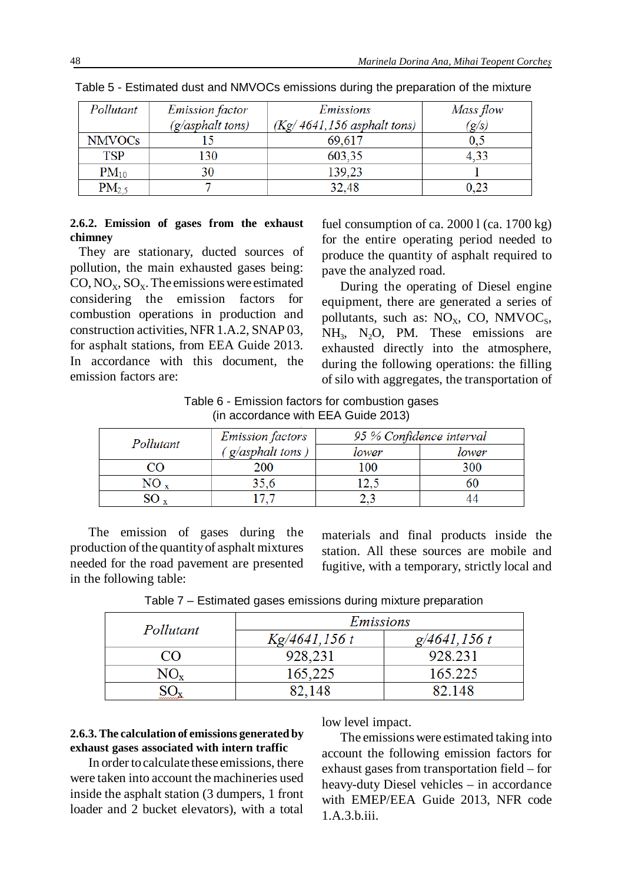| Pollutant         | <b>Emission</b> factor | Emissions                     | Mass flow    |
|-------------------|------------------------|-------------------------------|--------------|
|                   | (g/asphalt tons)       | $(Kg/4641, 156$ asphalt tons) | $\sigma/s$ ) |
| <b>NMVOCs</b>     |                        | 69.617                        |              |
| TSP               | 130                    | 603,35                        | 4.33         |
| $PM_{10}$         |                        | 139,23                        |              |
| PM <sub>2.5</sub> |                        | 32,48                         | 0.23         |

Table 5 - Estimated dust and NMVOCs emissions during the preparation of the mixture

#### **2.6.2. Emission of gases from the exhaust chimney**

They are stationary, ducted sources of pollution, the main exhausted gases being:  $CO, NO_x, SO_x$ . The emissions were estimated considering the emission factors for combustion operations in production and construction activities, NFR1.A.2, SNAP 03, for asphalt stations, from EEA Guide 2013. In accordance with this document, the emission factors are:

fuel consumption of ca.  $20001$  (ca.  $1700$  kg) for the entire operating period needed to produce the quantity of asphalt required to pave the analyzed road.

During the operating of Diesel engine equipment, there are generated a series of pollutants, such as:  $NO<sub>x</sub>$ , CO, NMVOC<sub>s</sub>,  $NH<sub>3</sub>$ , N<sub>2</sub>O, PM. These emissions are exhausted directly into the atmosphere, during the following operations: the filling of silo with aggregates, the transportation of

Table 6 - Emission factors for combustion gases (in accordance with EEA Guide 2013)

| Pollutant | <b>Emission factors</b> | 95 % Confidence interval |       |
|-----------|-------------------------|--------------------------|-------|
|           | $'$ g/asphalt tons,     | lower                    | lower |
|           | 200                     | 100                      | 300   |
|           |                         |                          |       |
|           |                         |                          |       |

The emission of gases during the production of the quantity of asphalt mixtures needed for the road pavement are presented in the following table:

materials and final products inside the station. All these sources are mobile and fugitive, with a temporary, strictly local and

Table 7 – Estimated gases emissions during mixture preparation

| Pollutant | Emissions     |              |  |
|-----------|---------------|--------------|--|
|           | Kg/4641,156 t | g/4641, 156t |  |
| CΟ        | 928,231       | 928.231      |  |
| $NO_x$    | 165,225       | 165.225      |  |
|           | 82.148        | 82.148       |  |

#### **2.6.3. The calculation of emissions generated by exhaust gases associated with intern traffic**

In order tocalculate these emissions, there were taken into account the machineries used inside the asphalt station (3 dumpers, 1 front loader and 2 bucket elevators), with a total

low level impact.

The emissions were estimated taking into account the following emission factors for exhaust gases from transportation field – for heavy-duty Diesel vehicles – in accordance with EMEP/EEA Guide 2013, NFR code 1.A.3.b.iii.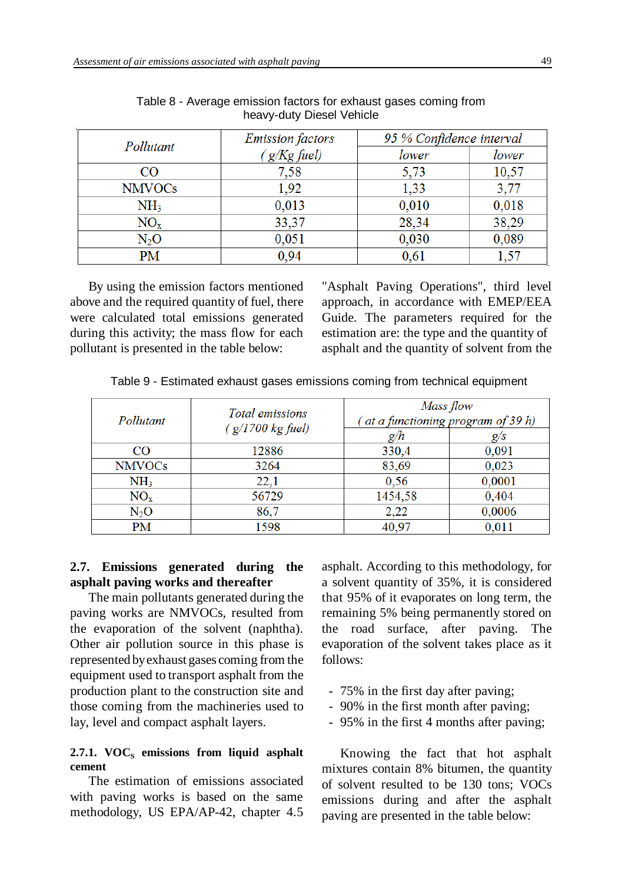| Pollutant                | <b>Emission</b> factors | 95 % Confidence interval |       |
|--------------------------|-------------------------|--------------------------|-------|
|                          | $g/Kg$ fuel)            | lower                    | lower |
| CO                       | 7,58                    | 5,73                     | 10,57 |
| <b>NMVOCs</b>            | 1,92                    | 1,33                     | 3,77  |
| NH <sub>3</sub>          | 0,013                   | 0,010                    | 0,018 |
| $NO_{x}$                 | 33,37                   | 28,34                    | 38,29 |
| $\mathrm{N}_2\mathrm{O}$ | 0,051                   | 0,030                    | 0,089 |
| PМ                       | 0,94                    | 0,61                     |       |

Table 8 - Average emission factors for exhaust gases coming from heavy-duty Diesel Vehicle

By using the emission factors mentioned above and the required quantity of fuel, there were calculated total emissions generated during this activity; the mass flow for each pollutant is presented in the table below:

"Asphalt Paving Operations", third level approach, in accordance with EMEP/EEA Guide. The parameters required for the estimation are: the type and the quantity of asphalt and the quantity of solvent from the

Table 9 - Estimated exhaust gases emissions coming from technical equipment

| Pollutant        | Total emissions    | Mass flow<br>(at a functioning program of 39 h) |        |
|------------------|--------------------|-------------------------------------------------|--------|
|                  | $(g/1700$ kg fuel) | g/h                                             | g/s    |
| CO <sub>1</sub>  | 12886              | 330,4                                           | 0,091  |
| <b>NMVOCs</b>    | 3264               | 83,69                                           | 0.023  |
| NH <sub>3</sub>  | 22,1               | 0.56                                            | 0,0001 |
| $NO_{x}$         | 56729              | 1454,58                                         | 0.404  |
| N <sub>2</sub> O | 86.7               | 2.22                                            | 0,0006 |
| PM               | 1598               | 40,97                                           | 0.011  |

#### **2.7. Emissions generated during the asphalt paving works and thereafter**

The main pollutants generated during the paving works are NMVOCs, resulted from the evaporation of the solvent (naphtha). Other air pollution source in this phase is represented byexhaust gases coming from the equipment used to transport asphalt from the production plant to the construction site and those coming from the machineries used to lay, level and compact asphalt layers.

#### 2.7.1. **VOC**<sub>S</sub> emissions from liquid asphalt **cement**

The estimation of emissions associated with paving works is based on the same methodology, US EPA/AP-42, chapter 4.5

asphalt. According to this methodology, for a solvent quantity of 35%, it is considered that 95% of it evaporates on long term, the remaining 5% being permanently stored on the road surface, after paving. The evaporation of the solvent takes place as it follows:

- 75% in the first day after paving;
- 90% in the first month after paving;
- 95% in the first 4 months after paving;

Knowing the fact that hot asphalt mixtures contain 8% bitumen, the quantity of solvent resulted to be 130 tons; VOCs emissions during and after the asphalt paving are presented in the table below: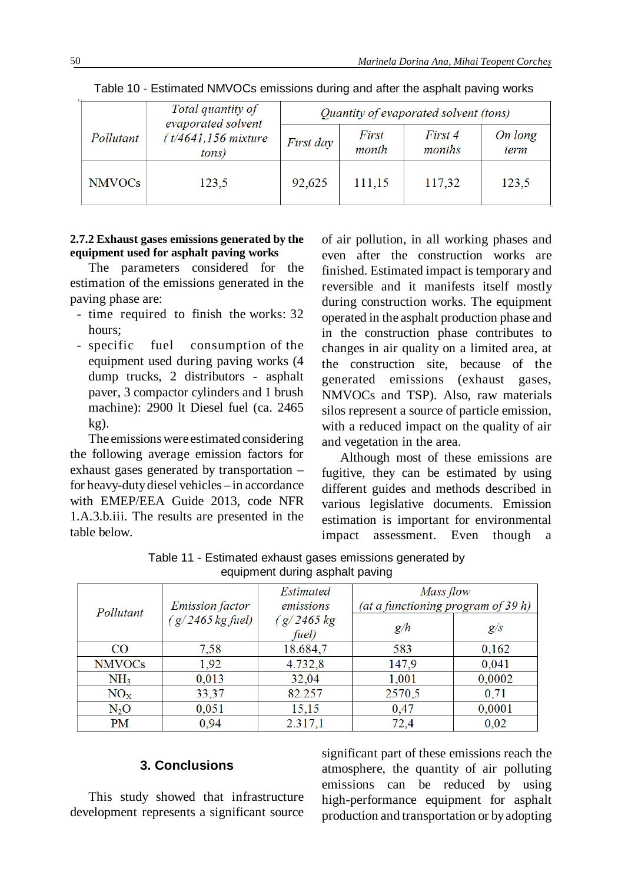|               | Total quantity of<br>evaporated solvent | Quantity of evaporated solvent (tons) |                |                   |                 |
|---------------|-----------------------------------------|---------------------------------------|----------------|-------------------|-----------------|
| Pollutant     | (t/4641,156 mixture<br>tons)            | First day                             | First<br>month | First 4<br>months | On long<br>term |
| <b>NMVOCs</b> | 123.5                                   | 92,625                                | 111,15         | 117,32            | 123.5           |

Table 10 - Estimated NMVOCs emissions during and after the asphalt paving works

### **2.7.2 Exhaust gases emissions generated by the equipment used for asphalt paving works**

The parameters considered for the estimation of the emissions generated in the paving phase are:

- time required to finish the works: 32 hours;
- specific fuel consumption of the equipment used during paving works (4 dump trucks, 2 distributors - asphalt paver, 3 compactor cylinders and 1 brush machine): 2900 lt Diesel fuel (ca. 2465 kg).

The emissions were estimated considering the following average emission factors for exhaust gases generated by transportation – for heavy-dutydiesel vehicles – in accordance with EMEP/EEA Guide 2013, code NFR 1.A.3.b.iii. The results are presented in the table below.

of air pollution, in all working phases and even after the construction works are finished. Estimated impact is temporary and reversible and it manifests itself mostly during construction works. The equipment operated in the asphalt production phase and in the construction phase contributes to changes in air quality on a limited area, at the construction site, because of the generated emissions (exhaust gases, NMVOCs and TSP). Also, raw materials silos represent a source of particle emission, with a reduced impact on the quality of air and vegetation in the area.

Although most of these emissions are fugitive, they can be estimated by using different guides and methods described in various legislative documents. Emission estimation is important for environmental impact assessment. Even though a

| <i>Emission factor</i><br>Pollutant |                    | Estimated<br>emissions | Mass flow<br>(at a functioning program of 39 h) |        |
|-------------------------------------|--------------------|------------------------|-------------------------------------------------|--------|
|                                     | $(g/2465 kg$ fuel) | (g/2465 kg)<br>fuel)   | g/h                                             | g/s    |
| <b>CO</b>                           | 7,58               | 18.684,7               | 583                                             | 0,162  |
| <b>NMVOCs</b>                       | 1.92               | 4.732,8                | 147.9                                           | 0,041  |
| NH <sub>3</sub>                     | 0,013              | 32,04                  | 1,001                                           | 0,0002 |
| $NO_{x}$                            | 33,37              | 82.257                 | 2570,5                                          | 0.71   |
| $N_2O$                              | 0.051              | 15,15                  | 0.47                                            | 0,0001 |
| PM                                  | 0.94               | 2.317.1                | 72.4                                            | 0.02   |

Table 11 - Estimated exhaust gases emissions generated by equipment during asphalt paving

# **3. Conclusions**

This study showed that infrastructure development represents a significant source

significant part of these emissions reach the atmosphere, the quantity of air polluting emissions can be reduced by using high-performance equipment for asphalt production and transportation or byadopting